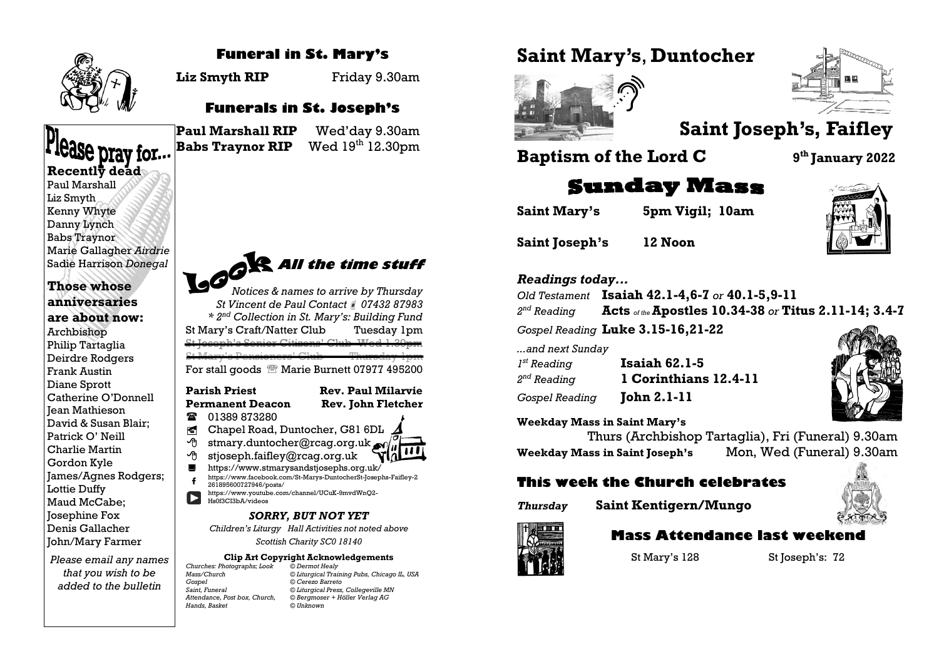

Paul Marshall Liz Smyth

## **Funeral in St. Mary's**

**Liz Smyth RIP** Friday 9.30am

## **Funerals in St. Joseph's**

**Please pray for...**<br>Recently dead

**Paul Marshall RIP** Wed'day 9.30am **Babs Traynor RIP** Wed  $19<sup>th</sup> 12.30$ pm





# **Saint Joseph's, Faifley**

**Baptism of the Lord C 9**

**Saint Mary's**, **Duntocher**

**th January 2022**

# **Sunday Mass**

**Saint Mary's 5pm Vigil; 10am**

**Saint Joseph's 12 Noon**



#### *Readings today...*

*Old Testament* **Isaiah 42.1-4,6-7** *or* **40.1-5,9-11** 2<sup>nd</sup> Reading *nd Reading* **Acts** *of the* **Apostles 10.34-38** *or* **Titus 2.11-14; 3.4-7**

*Gospel Reading* **Luke 3.15-16,21-22**

*...and next Sunday*

| 1 <sup>st</sup> Reading | <b>Isaiah 62.1-5</b>  |
|-------------------------|-----------------------|
| 2 <sup>nd</sup> Reading | 1 Corinthians 12.4-11 |
| <i>Gospel Reading</i>   | <b>John 2.1-11</b>    |

**Weekday Mass in Saint Mary's**

Thurs (Archbishop Tartaglia), Fri (Funeral) 9.30am **Weekday Mass in Saint Joseph's** Mon, Wed (Funeral) 9.30am

## **This week the Church celebrates**





## **Mass Attendance last weekend**

St Mary's 128 St Joseph's: 72

Kenny Whyte Danny Lynch Babs Traynor Marie Gallagher *Airdrie* Sadie Harrison *Donegal*

### **Those whose anniversaries are about now:** Archbishop Philip Tartaglia

Deirdre Rodgers Frank Austin Diane Sprott Catherine O'Donnell Jean Mathieson David & Susan Blair; Patrick O' Neill Charlie Martin Gordon Kyle James/Agnes Rodgers; Lottie Duffy Maud McCabe; Josephine Fox Denis Gallacher John/Mary Farmer

*Please email any names that you wish to be added to the bulletin* 



*Notices & names to arrive by Thursday St Vincent de Paul Contact 07432 87983 \* 2nd Collection in St. Mary's: Building Fund* St Mary's Craft/Natter Club Tuesday 1pm St Joseph's Senior Citizens' Club Wed 1.30pm St Mary's Pensioners' Club Thursday 1pm For stall goods <sup>®</sup> Marie Burnett 07977 495200

### **Parish Priest Rev. Paul Milarvie Permanent Deacon Rev. John Fletcher**

- **01389 873280**
- Chapel Road, Duntocher, G81 6DL  $\angle$
- $\Theta$  stmary.duntocher@rcag.org.uk
- $\Theta$  stjoseph.faifley@rcag.org.uk
- <https://www.stmarysandstjosephs.org.uk/> [https://www.facebook.com/St-Marys-DuntocherSt-Josephs-Faifley-2](https://www.facebook.com/St-Marys-DuntocherSt-Josephs-Faifley-2261895600727946/posts/)
- [261895600727946/posts/](https://www.facebook.com/St-Marys-DuntocherSt-Josephs-Faifley-2261895600727946/posts/) [https://www.youtube.com/channel/UCuK-9mvdWnQ2-](https://www.youtube.com/channel/UCuK-9mvdWnQ2-Hs0f3CI3bA/videos) Ы [Hs0f3CI3bA/videos](https://www.youtube.com/channel/UCuK-9mvdWnQ2-Hs0f3CI3bA/videos)

*SORRY, BUT NOT YET*

*Children's Liturgy Hall Activities not noted above*

*Scottish Charity SC0 18140*

## **Clip Art Copyright Acknowledgements**

*Churches: Photographs; Look © Dermot Healy Gospel © Cerezo Barreto Saint, Funeral © Liturgical Press, Collegeville MN Hands, Basket © Unknown*

*Mass/Church © Liturgical Training Pubs, Chicago IL, USA Attendance, Post box, Church, © Bergmoser + Höller Verlag AG*